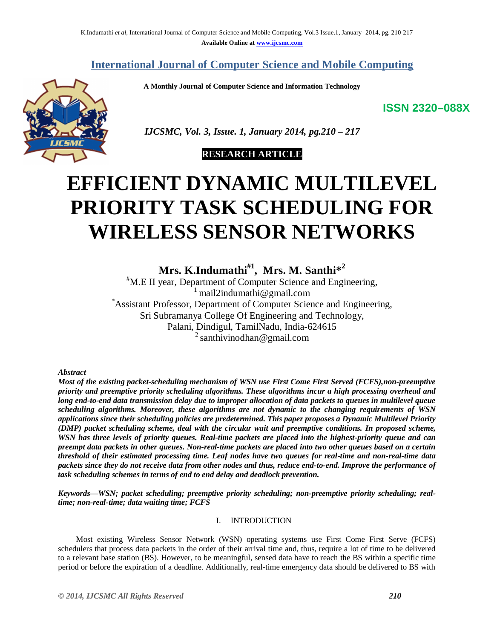# **International Journal of Computer Science and Mobile Computing**

**A Monthly Journal of Computer Science and Information Technology**

**ISSN 2320–088X**



*IJCSMC, Vol. 3, Issue. 1, January 2014, pg.210 – 217*

# **RESEARCH ARTICLE**

# **EFFICIENT DYNAMIC MULTILEVEL PRIORITY TASK SCHEDULING FOR WIRELESS SENSOR NETWORKS**

**Mrs. K.Indumathi#1 , Mrs. M. Santhi\* 2**

#M.E II year, Department of Computer Science and Engineering,  $\frac{1}{1}$  mail2indumathi@gmail.com \*Assistant Professor, Department of Computer Science and Engineering, Sri Subramanya College Of Engineering and Technology, Palani, Dindigul, TamilNadu, India-624615  $2$  santhivinodhan@gmail.com

# *Abstract*

*Most of the existing packet-scheduling mechanism of WSN use First Come First Served (FCFS),non-preemptive priority and preemptive priority scheduling algorithms. These algorithms incur a high processing overhead and long end-to-end data transmission delay due to improper allocation of data packets to queues in multilevel queue scheduling algorithms. Moreover, these algorithms are not dynamic to the changing requirements of WSN applications since their scheduling policies are predetermined. This paper proposes a Dynamic Multilevel Priority (DMP) packet scheduling scheme, deal with the circular wait and preemptive conditions. In proposed scheme, WSN has three levels of priority queues. Real-time packets are placed into the highest-priority queue and can preempt data packets in other queues. Non-real-time packets are placed into two other queues based on a certain threshold of their estimated processing time. Leaf nodes have two queues for real-time and non-real-time data packets since they do not receive data from other nodes and thus, reduce end-to-end. Improve the performance of task scheduling schemes in terms of end to end delay and deadlock prevention.*

*Keywords—WSN; packet scheduling; preemptive priority scheduling; non-preemptive priority scheduling; realtime; non-real-time; data waiting time; FCFS*

# I. INTRODUCTION

 Most existing Wireless Sensor Network (WSN) operating systems use First Come First Serve (FCFS) schedulers that process data packets in the order of their arrival time and, thus, require a lot of time to be delivered to a relevant base station (BS). However, to be meaningful, sensed data have to reach the BS within a specific time period or before the expiration of a deadline. Additionally, real-time emergency data should be delivered to BS with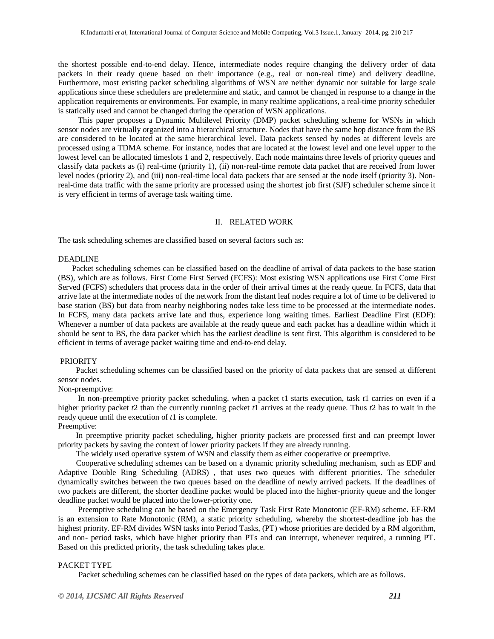the shortest possible end-to-end delay. Hence, intermediate nodes require changing the delivery order of data packets in their ready queue based on their importance (e.g., real or non-real time) and delivery deadline. Furthermore, most existing packet scheduling algorithms of WSN are neither dynamic nor suitable for large scale applications since these schedulers are predetermine and static, and cannot be changed in response to a change in the application requirements or environments. For example, in many realtime applications, a real-time priority scheduler is statically used and cannot be changed during the operation of WSN applications.

 This paper proposes a Dynamic Multilevel Priority (DMP) packet scheduling scheme for WSNs in which sensor nodes are virtually organized into a hierarchical structure. Nodes that have the same hop distance from the BS are considered to be located at the same hierarchical level. Data packets sensed by nodes at different levels are processed using a TDMA scheme. For instance, nodes that are located at the lowest level and one level upper to the lowest level can be allocated timeslots 1 and 2, respectively. Each node maintains three levels of priority queues and classify data packets as (i) real-time (priority 1), (ii) non-real-time remote data packet that are received from lower level nodes (priority 2), and (iii) non-real-time local data packets that are sensed at the node itself (priority 3). Nonreal-time data traffic with the same priority are processed using the shortest job first (SJF) scheduler scheme since it is very efficient in terms of average task waiting time.

# II. RELATED WORK

The task scheduling schemes are classified based on several factors such as:

#### DEADLINE

 Packet scheduling schemes can be classified based on the deadline of arrival of data packets to the base station (BS), which are as follows. First Come First Served (FCFS): Most existing WSN applications use First Come First Served (FCFS) schedulers that process data in the order of their arrival times at the ready queue. In FCFS, data that arrive late at the intermediate nodes of the network from the distant leaf nodes require a lot of time to be delivered to base station (BS) but data from nearby neighboring nodes take less time to be processed at the intermediate nodes. In FCFS, many data packets arrive late and thus, experience long waiting times. Earliest Deadline First (EDF): Whenever a number of data packets are available at the ready queue and each packet has a deadline within which it should be sent to BS, the data packet which has the earliest deadline is sent first. This algorithm is considered to be efficient in terms of average packet waiting time and end-to-end delay.

#### PRIORITY

 Packet scheduling schemes can be classified based on the priority of data packets that are sensed at different sensor nodes.

## Non-preemptive:

 In non-preemptive priority packet scheduling, when a packet t1 starts execution, task *t*1 carries on even if a higher priority packet *t*2 than the currently running packet *t*1 arrives at the ready queue. Thus *t*2 has to wait in the ready queue until the execution of *t*1 is complete.

# Preemptive:

 In preemptive priority packet scheduling, higher priority packets are processed first and can preempt lower priority packets by saving the context of lower priority packets if they are already running.

The widely used operative system of WSN and classify them as either cooperative or preemptive.

 Cooperative scheduling schemes can be based on a dynamic priority scheduling mechanism, such as EDF and Adaptive Double Ring Scheduling (ADRS) , that uses two queues with different priorities. The scheduler dynamically switches between the two queues based on the deadline of newly arrived packets. If the deadlines of two packets are different, the shorter deadline packet would be placed into the higher-priority queue and the longer deadline packet would be placed into the lower-priority one.

 Preemptive scheduling can be based on the Emergency Task First Rate Monotonic (EF-RM) scheme. EF-RM is an extension to Rate Monotonic (RM), a static priority scheduling, whereby the shortest-deadline job has the highest priority. EF-RM divides WSN tasks into Period Tasks, (PT) whose priorities are decided by a RM algorithm, and non- period tasks, which have higher priority than PTs and can interrupt, whenever required, a running PT. Based on this predicted priority, the task scheduling takes place.

### PACKET TYPE

Packet scheduling schemes can be classified based on the types of data packets, which are as follows.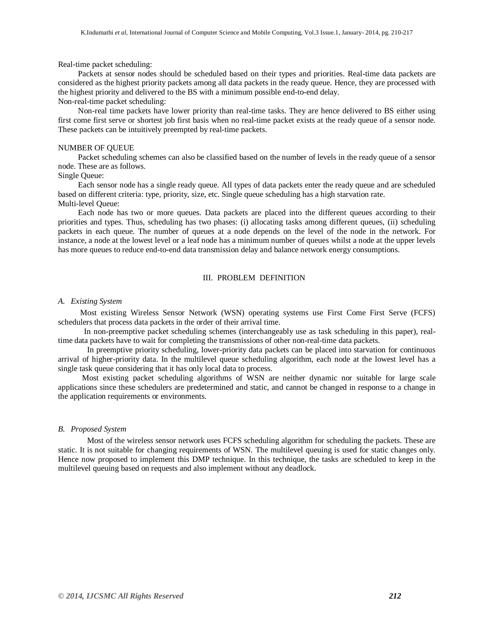#### Real-time packet scheduling:

 Packets at sensor nodes should be scheduled based on their types and priorities. Real-time data packets are considered as the highest priority packets among all data packets in the ready queue. Hence, they are processed with the highest priority and delivered to the BS with a minimum possible end-to-end delay.

# Non-real-time packet scheduling:

 Non-real time packets have lower priority than real-time tasks. They are hence delivered to BS either using first come first serve or shortest job first basis when no real-time packet exists at the ready queue of a sensor node. These packets can be intuitively preempted by real-time packets.

#### NUMBER OF QUEUE

 Packet scheduling schemes can also be classified based on the number of levels in the ready queue of a sensor node. These are as follows.

# Single Queue:

 Each sensor node has a single ready queue. All types of data packets enter the ready queue and are scheduled based on different criteria: type, priority, size, etc. Single queue scheduling has a high starvation rate. Multi-level Queue:

 Each node has two or more queues. Data packets are placed into the different queues according to their priorities and types. Thus, scheduling has two phases: (i) allocating tasks among different queues, (ii) scheduling packets in each queue. The number of queues at a node depends on the level of the node in the network. For instance, a node at the lowest level or a leaf node has a minimum number of queues whilst a node at the upper levels has more queues to reduce end-to-end data transmission delay and balance network energy consumptions.

# III. PROBLEM DEFINITION

#### *A. Existing System*

 Most existing Wireless Sensor Network (WSN) operating systems use First Come First Serve (FCFS) schedulers that process data packets in the order of their arrival time.

 In non-preemptive packet scheduling schemes (interchangeably use as task scheduling in this paper), realtime data packets have to wait for completing the transmissions of other non-real-time data packets.

In preemptive priority scheduling, lower-priority data packets can be placed into starvation for continuous arrival of higher-priority data. In the multilevel queue scheduling algorithm, each node at the lowest level has a single task queue considering that it has only local data to process.

 Most existing packet scheduling algorithms of WSN are neither dynamic nor suitable for large scale applications since these schedulers are predetermined and static, and cannot be changed in response to a change in the application requirements or environments.

#### *B. Proposed System*

Most of the wireless sensor network uses FCFS scheduling algorithm for scheduling the packets. These are static. It is not suitable for changing requirements of WSN. The multilevel queuing is used for static changes only. Hence now proposed to implement this DMP technique. In this technique, the tasks are scheduled to keep in the multilevel queuing based on requests and also implement without any deadlock.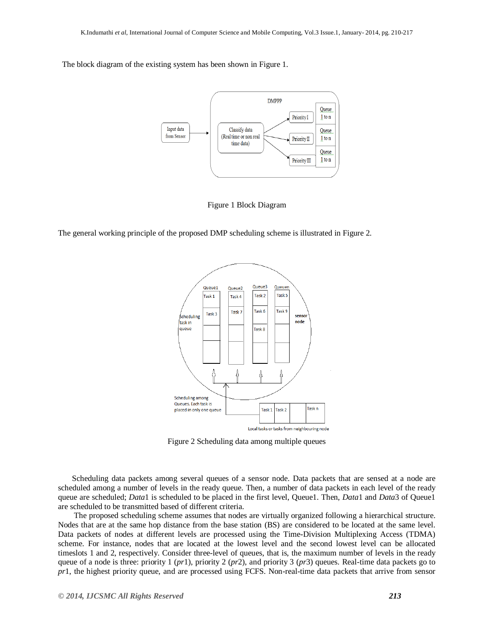The block diagram of the existing system has been shown in Figure 1.



Figure 1 Block Diagram

The general working principle of the proposed DMP scheduling scheme is illustrated in Figure 2.



Figure 2 Scheduling data among multiple queues

 Scheduling data packets among several queues of a sensor node. Data packets that are sensed at a node are scheduled among a number of levels in the ready queue. Then, a number of data packets in each level of the ready queue are scheduled; *Data*1 is scheduled to be placed in the first level, Queue1. Then, *Data*1 and *Data*3 of Queue1 are scheduled to be transmitted based of different criteria.

 The proposed scheduling scheme assumes that nodes are virtually organized following a hierarchical structure. Nodes that are at the same hop distance from the base station (BS) are considered to be located at the same level. Data packets of nodes at different levels are processed using the Time-Division Multiplexing Access (TDMA) scheme. For instance, nodes that are located at the lowest level and the second lowest level can be allocated timeslots 1 and 2, respectively. Consider three-level of queues, that is, the maximum number of levels in the ready queue of a node is three: priority 1 (*pr*1), priority 2 (*pr*2), and priority 3 (*pr*3) queues. Real-time data packets go to *pr*1, the highest priority queue, and are processed using FCFS. Non-real-time data packets that arrive from sensor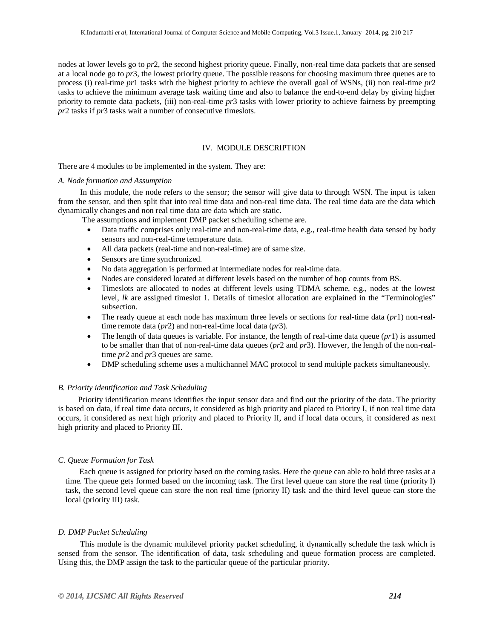nodes at lower levels go to *pr*2, the second highest priority queue. Finally, non-real time data packets that are sensed at a local node go to *pr*3, the lowest priority queue. The possible reasons for choosing maximum three queues are to process (i) real-time *pr*1 tasks with the highest priority to achieve the overall goal of WSNs, (ii) non real-time *pr*2 tasks to achieve the minimum average task waiting time and also to balance the end-to-end delay by giving higher priority to remote data packets, (iii) non-real-time *pr*3 tasks with lower priority to achieve fairness by preempting *pr*2 tasks if *pr*3 tasks wait a number of consecutive timeslots.

# IV. MODULE DESCRIPTION

There are 4 modules to be implemented in the system. They are:

#### *A. Node formation and Assumption*

 In this module, the node refers to the sensor; the sensor will give data to through WSN. The input is taken from the sensor, and then split that into real time data and non-real time data. The real time data are the data which dynamically changes and non real time data are data which are static.

The assumptions and implement DMP packet scheduling scheme are.

- Data traffic comprises only real-time and non-real-time data, e.g., real-time health data sensed by body sensors and non-real-time temperature data.
- All data packets (real-time and non-real-time) are of same size.
- Sensors are time synchronized.
- No data aggregation is performed at intermediate nodes for real-time data.
- Nodes are considered located at different levels based on the number of hop counts from BS.
- Timeslots are allocated to nodes at different levels using TDMA scheme, e.g., nodes at the lowest level, *lk* are assigned timeslot 1. Details of timeslot allocation are explained in the "Terminologies" subsection.
- The ready queue at each node has maximum three levels or sections for real-time data (*pr*1) non-realtime remote data (*pr*2) and non-real-time local data (*pr*3).
- The length of data queues is variable. For instance, the length of real-time data queue  $(pr1)$  is assumed to be smaller than that of non-real-time data queues (*pr*2 and *pr*3). However, the length of the non-realtime *pr*2 and *pr*3 queues are same.
- DMP scheduling scheme uses a multichannel MAC protocol to send multiple packets simultaneously.

# *B. Priority identification and Task Scheduling*

 Priority identification means identifies the input sensor data and find out the priority of the data. The priority is based on data, if real time data occurs, it considered as high priority and placed to Priority I, if non real time data occurs, it considered as next high priority and placed to Priority II, and if local data occurs, it considered as next high priority and placed to Priority III.

# *C. Queue Formation for Task*

 Each queue is assigned for priority based on the coming tasks. Here the queue can able to hold three tasks at a time. The queue gets formed based on the incoming task. The first level queue can store the real time (priority I) task, the second level queue can store the non real time (priority II) task and the third level queue can store the local (priority III) task.

# *D. DMP Packet Scheduling*

 This module is the dynamic multilevel priority packet scheduling, it dynamically schedule the task which is sensed from the sensor. The identification of data, task scheduling and queue formation process are completed. Using this, the DMP assign the task to the particular queue of the particular priority.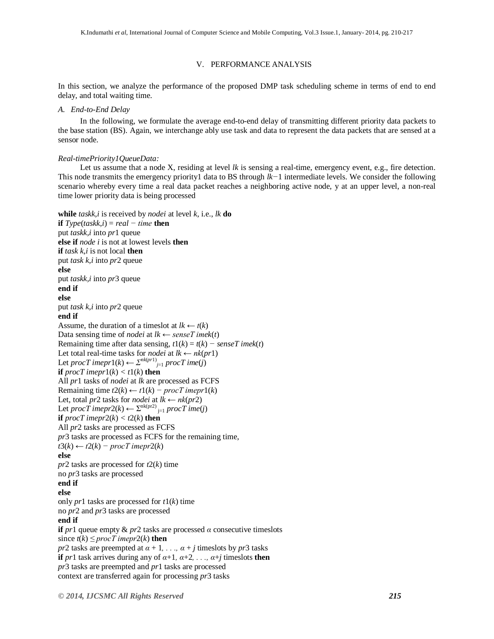#### V. PERFORMANCE ANALYSIS

In this section, we analyze the performance of the proposed DMP task scheduling scheme in terms of end to end delay, and total waiting time.

## *A. End-to-End Delay*

 In the following, we formulate the average end-to-end delay of transmitting different priority data packets to the base station (BS). Again, we interchange ably use task and data to represent the data packets that are sensed at a sensor node.

#### *Real-timePriority1QueueData:*

Let us assume that a node X, residing at level *lk* is sensing a real-time, emergency event, e.g., fire detection. This node transmits the emergency priority1 data to BS through *lk−*1 intermediate levels. We consider the following scenario whereby every time a real data packet reaches a neighboring active node, y at an upper level, a non-real time lower priority data is being processed

```
while taskk,i is received by nodei at level k, i.e., lk do
if Type(taskk,i) = real - time then
put taskk,i into pr1 queue
else if node i is not at lowest levels then
if task k,i is not local then
put task k,i into pr2 queue
else
put taskk,i into pr3 queue
end if
else
put task k,i into pr2 queue
end if
Assume, the duration of a timeslot at lk \leftarrow t(k)Data sensing time of nodei at lk \leftarrow \text{sense} \textit{T} imek(t)
Remaining time after data sensing, t1(k) = t(k) - \text{sense }T imek(t)
Let total real-time tasks for nodei at lk \leftarrow nk(pr1)\text{Let } procT \text{ } imper1(k) \leftarrow \sum^{nk(pr1)}_{j=1} procT \text{ }ime(j)if procT imepr1(k) < t1(k) then
All pr1 tasks of nodei at lk are processed as FCFS
Remaining time t2(k) ← t1(k) − procT imepr1(k)
Let, total pr2 tasks for nodei at lk ← nk(pr2)Let procT imepr2(k) \leftarrow \sum^{nk(pr2)}_{j=1} procT ime(j)
if procT imepr2(k) lt t2(k) then
All pr2 tasks are processed as FCFS
pr3 tasks are processed as FCFS for the remaining time, 
t3(k) ← t2(k) − procT imepr2(k)
else
pr2 tasks are processed for t2(k) time
no pr3 tasks are processed
end if
else
only pr1 tasks are processed for t1(k) time
no pr2 and pr3 tasks are processed
end if
if pr1 queue empty & pr2 tasks are processed \alpha consecutive timeslots
since t(k) \leq procT imepr2(k) then
pr2 tasks are preempted at \alpha + 1, ..., \alpha + i timeslots by pr3 tasks
if pr1 task arrives during any of \alpha+1, \alpha+2, ..., \alpha+j timeslots then
pr3 tasks are preempted and pr1 tasks are processed
context are transferred again for processing pr3 tasks
```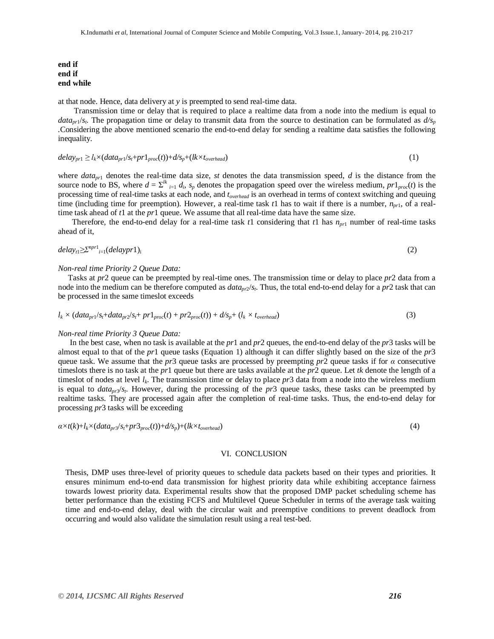# **end if end if end while**

at that node. Hence, data delivery at *y* is preempted to send real-time data.

 Transmission time or delay that is required to place a realtime data from a node into the medium is equal to *datapr*1/*s<sup>t</sup>* . The propagation time or delay to transmit data from the source to destination can be formulated as *d/s<sup>p</sup> .*Considering the above mentioned scenario the end-to-end delay for sending a realtime data satisfies the following inequality.

$$
delay_{pr1} \geq l_k \times (data_{pr1}/s_r + pr1_{proc}(t)) + d/s_p + (lk \times t_{overhead})
$$
\n<sup>(1)</sup>

where *datapr*<sup>1</sup> denotes the real-time data size, *st* denotes the data transmission speed, *d* is the distance from the source node to BS, where  $d = \sum_{i=1}^{k} d_i$ ,  $s_p$  denotes the propagation speed over the wireless medium,  $pr1_{proc}(t)$  is the processing time of real-time tasks at each node, and *toverhead* is an overhead in terms of context switching and queuing time (including time for preemption). However, a real-time task *t*1 has to wait if there is a number, *npr*1, of a realtime task ahead of *t*1 at the *pr*1 queue. We assume that all real-time data have the same size.

Therefore, the end-to-end delay for a real-time task  $t1$  considering that  $t1$  has  $n_{pr1}$  number of real-time tasks ahead of it,

$$
delay_{t1} \geq Z^{npr1}_{i=1} (delaypr1)_i
$$
 (2)

#### *Non-real time Priority 2 Queue Data:*

Tasks at *pr*2 queue can be preempted by real-time ones. The transmission time or delay to place *pr*2 data from a node into the medium can be therefore computed as *datapr*2/*s<sup>t</sup>* . Thus, the total end-to-end delay for a *pr*2 task that can be processed in the same timeslot exceeds

$$
l_k \times (data_{pr1}/s_r + data_{pr2}/s_r + pr1_{proc}(t) + pr2_{proc}(t)) + d/s_p + (l_k \times t_{overhead})
$$
\n(3)

#### *Non-real time Priority 3 Queue Data:*

In the best case, when no task is available at the *pr*1 and *pr*2 queues, the end-to-end delay of the *pr*3 tasks will be almost equal to that of the *pr*1 queue tasks (Equation 1) although it can differ slightly based on the size of the *pr*3 queue task. We assume that the *pr*3 queue tasks are processed by preempting *pr*2 queue tasks if for *α* consecutive timeslots there is no task at the *pr*1 queue but there are tasks available at the *pr*2 queue. Let *tk* denote the length of a timeslot of nodes at level  $l_k$ . The transmission time or delay to place  $pr3$  data from a node into the wireless medium is equal to  $data_{pr3}/s_r$ . However, during the processing of the  $pr3$  queue tasks, these tasks can be preempted by realtime tasks. They are processed again after the completion of real-time tasks. Thus, the end-to-end delay for processing *pr*3 tasks will be exceeding

$$
\alpha \times t(k) + l_k \times (data_{pr3}/s_r + pr3_{proc}(t)) + d/s_p) + (lk \times t_{overhead})
$$
\n(4)

#### VI. CONCLUSION

Thesis, DMP uses three-level of priority queues to schedule data packets based on their types and priorities. It ensures minimum end-to-end data transmission for highest priority data while exhibiting acceptance fairness towards lowest priority data. Experimental results show that the proposed DMP packet scheduling scheme has better performance than the existing FCFS and Multilevel Queue Scheduler in terms of the average task waiting time and end-to-end delay, deal with the circular wait and preemptive conditions to prevent deadlock from occurring and would also validate the simulation result using a real test-bed.